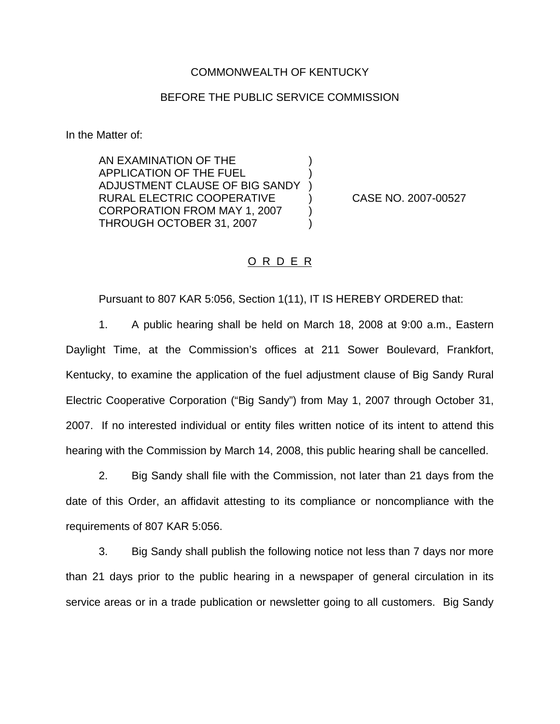## COMMONWEALTH OF KENTUCKY

## BEFORE THE PUBLIC SERVICE COMMISSION

) ) )

) )

In the Matter of:

AN EXAMINATION OF THE APPLICATION OF THE FUEL ADJUSTMENT CLAUSE OF BIG SANDY RURAL ELECTRIC COOPERATIVE CORPORATION FROM MAY 1, 2007 THROUGH OCTOBER 31, 2007

) CASE NO. 2007-00527

## O R D E R

Pursuant to 807 KAR 5:056, Section 1(11), IT IS HEREBY ORDERED that:

1. A public hearing shall be held on March 18, 2008 at 9:00 a.m., Eastern Daylight Time, at the Commission's offices at 211 Sower Boulevard, Frankfort, Kentucky, to examine the application of the fuel adjustment clause of Big Sandy Rural Electric Cooperative Corporation ("Big Sandy") from May 1, 2007 through October 31, 2007. If no interested individual or entity files written notice of its intent to attend this hearing with the Commission by March 14, 2008, this public hearing shall be cancelled.

2. Big Sandy shall file with the Commission, not later than 21 days from the date of this Order, an affidavit attesting to its compliance or noncompliance with the requirements of 807 KAR 5:056.

3. Big Sandy shall publish the following notice not less than 7 days nor more than 21 days prior to the public hearing in a newspaper of general circulation in its service areas or in a trade publication or newsletter going to all customers. Big Sandy